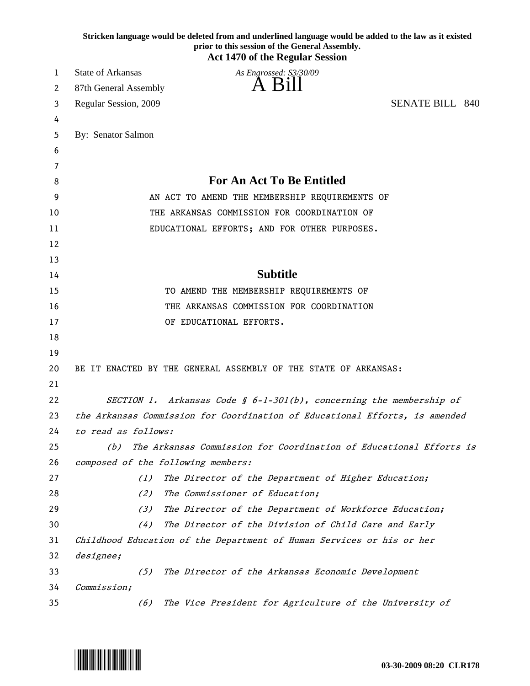|          |                                                                             | prior to this session of the General Assembly.<br><b>Act 1470 of the Regular Session</b> | Stricken language would be deleted from and underlined language would be added to the law as it existed |
|----------|-----------------------------------------------------------------------------|------------------------------------------------------------------------------------------|---------------------------------------------------------------------------------------------------------|
| 1        | <b>State of Arkansas</b>                                                    | As Engrossed: S3/30/09                                                                   |                                                                                                         |
| 2        | 87th General Assembly                                                       |                                                                                          |                                                                                                         |
| 3        | Regular Session, 2009                                                       |                                                                                          | <b>SENATE BILL 840</b>                                                                                  |
| 4        |                                                                             |                                                                                          |                                                                                                         |
| 5        | By: Senator Salmon                                                          |                                                                                          |                                                                                                         |
| 6        |                                                                             |                                                                                          |                                                                                                         |
| 7        |                                                                             |                                                                                          |                                                                                                         |
| 8        | <b>For An Act To Be Entitled</b>                                            |                                                                                          |                                                                                                         |
| 9        | AN ACT TO AMEND THE MEMBERSHIP REQUIREMENTS OF                              |                                                                                          |                                                                                                         |
| 10       | THE ARKANSAS COMMISSION FOR COORDINATION OF                                 |                                                                                          |                                                                                                         |
| 11       |                                                                             | EDUCATIONAL EFFORTS; AND FOR OTHER PURPOSES.                                             |                                                                                                         |
| 12       |                                                                             |                                                                                          |                                                                                                         |
| 13       |                                                                             |                                                                                          |                                                                                                         |
| 14       | <b>Subtitle</b>                                                             |                                                                                          |                                                                                                         |
| 15       | TO AMEND THE MEMBERSHIP REQUIREMENTS OF                                     |                                                                                          |                                                                                                         |
| 16       | THE ARKANSAS COMMISSION FOR COORDINATION                                    |                                                                                          |                                                                                                         |
| 17       |                                                                             | OF EDUCATIONAL EFFORTS.                                                                  |                                                                                                         |
| 18       |                                                                             |                                                                                          |                                                                                                         |
| 19       |                                                                             |                                                                                          |                                                                                                         |
| 20       |                                                                             | BE IT ENACTED BY THE GENERAL ASSEMBLY OF THE STATE OF ARKANSAS:                          |                                                                                                         |
| 21       |                                                                             |                                                                                          |                                                                                                         |
| 22       |                                                                             | SECTION 1. Arkansas Code $\S$ 6-1-301(b), concerning the membership of                   |                                                                                                         |
| 23       | the Arkansas Commission for Coordination of Educational Efforts, is amended |                                                                                          |                                                                                                         |
| 24       | to read as follows:                                                         |                                                                                          |                                                                                                         |
| 25       | The Arkansas Commission for Coordination of Educational Efforts is<br>(b)   |                                                                                          |                                                                                                         |
| 26       |                                                                             | composed of the following members:                                                       |                                                                                                         |
| 27       | (1)                                                                         | The Director of the Department of Higher Education;                                      |                                                                                                         |
| 28       | (2)                                                                         | The Commissioner of Education;                                                           |                                                                                                         |
| 29       | (3)                                                                         | The Director of the Department of Workforce Education;                                   |                                                                                                         |
| 30       | (4)                                                                         | The Director of the Division of Child Care and Early                                     |                                                                                                         |
| 31       |                                                                             | Childhood Education of the Department of Human Services or his or her                    |                                                                                                         |
| 32<br>33 | designee;<br>(5)                                                            |                                                                                          |                                                                                                         |
| 34       | Commission;                                                                 | The Director of the Arkansas Economic Development                                        |                                                                                                         |
| 35       | (6)                                                                         | The Vice President for Agriculture of the University of                                  |                                                                                                         |
|          |                                                                             |                                                                                          |                                                                                                         |

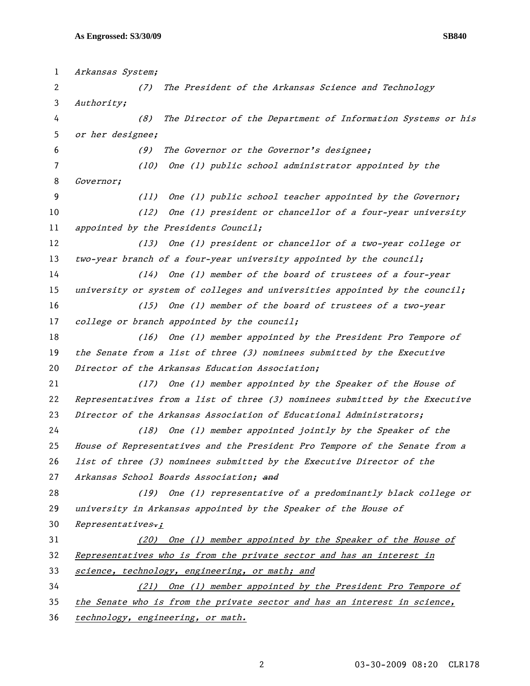| $\mathbf{1}$ | Arkansas System;                                                             |  |  |
|--------------|------------------------------------------------------------------------------|--|--|
| 2            | The President of the Arkansas Science and Technology<br>(7)                  |  |  |
| 3            | Authority;                                                                   |  |  |
| 4            | The Director of the Department of Information Systems or his<br>(8)          |  |  |
| 5            | or her designee;                                                             |  |  |
| 6            | The Governor or the Governor's designee;<br>(9)                              |  |  |
| 7            | (10)<br>One (1) public school administrator appointed by the                 |  |  |
| 8            | Governor;                                                                    |  |  |
| 9            | One (1) public school teacher appointed by the Governor;<br>(11)             |  |  |
| 10           | One (1) president or chancellor of a four-year university<br>(12)            |  |  |
| 11           | appointed by the Presidents Council;                                         |  |  |
| 12           | (13) One (1) president or chancellor of a two-year college or                |  |  |
| 13           | two-year branch of a four-year university appointed by the council;          |  |  |
| 14           | One (1) member of the board of trustees of a four-year<br>(14)               |  |  |
| 15           | university or system of colleges and universities appointed by the council;  |  |  |
| 16           | One (1) member of the board of trustees of a two-year<br>(15)                |  |  |
| 17           | college or branch appointed by the council;                                  |  |  |
| 18           | One (1) member appointed by the President Pro Tempore of<br>(16)             |  |  |
| 19           | the Senate from a list of three (3) nominees submitted by the Executive      |  |  |
| 20           | Director of the Arkansas Education Association;                              |  |  |
| 21           | (17) One (1) member appointed by the Speaker of the House of                 |  |  |
| 22           | Representatives from a list of three (3) nominees submitted by the Executive |  |  |
| 23           | Director of the Arkansas Association of Educational Administrators;          |  |  |
| 24           | One (1) member appointed jointly by the Speaker of the<br>(18)               |  |  |
| 25           | House of Representatives and the President Pro Tempore of the Senate from a  |  |  |
| 26           | list of three (3) nominees submitted by the Executive Director of the        |  |  |
| 27           | Arkansas School Boards Association; and                                      |  |  |
| 28           | (19) One (1) representative of a predominantly black college or              |  |  |
| 29           | university in Arkansas appointed by the Speaker of the House of              |  |  |
| 30           | $Representatives$ ;                                                          |  |  |
| 31           | One (1) member appointed by the Speaker of the House of<br>(20)              |  |  |
| 32           | Representatives who is from the private sector and has an interest in        |  |  |
| 33           | science, technology, engineering, or math; and                               |  |  |
| 34           | One (1) member appointed by the President Pro Tempore of<br>(21)             |  |  |
| 35           | the Senate who is from the private sector and has an interest in science,    |  |  |
|              |                                                                              |  |  |

36 technology, engineering, or math.